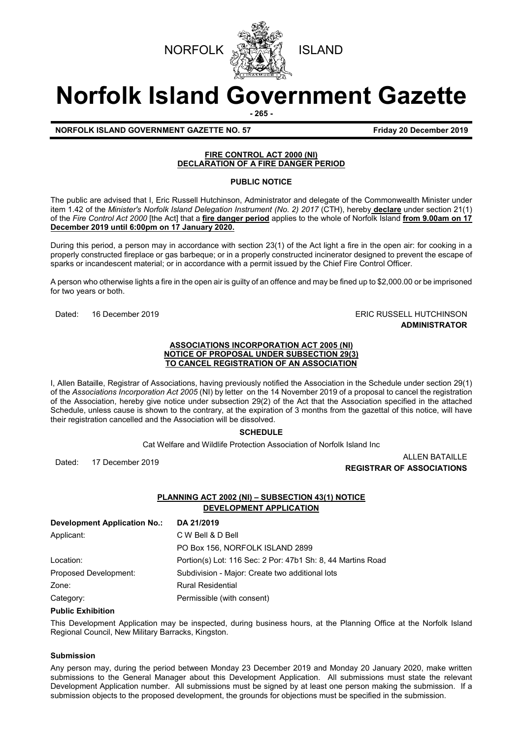



# **Norfolk Island Government Gazette**

**- 265 -**

**NORFOLK ISLAND GOVERNMENT GAZETTE NO. 57 FIGULARY 20 December 2019** 

# **FIRE CONTROL ACT 2000 (NI) DECLARATION OF A FIRE DANGER PERIOD**

# **PUBLIC NOTICE**

The public are advised that I, Eric Russell Hutchinson, Administrator and delegate of the Commonwealth Minister under item 1.42 of the *Minister's Norfolk Island Delegation Instrument (No. 2) 2017* (CTH), hereby **declare** under section 21(1) of the *Fire Control Act 2000* [the Act] that a **fire danger period** applies to the whole of Norfolk Island **from 9.00am on 17 December 2019 until 6:00pm on 17 January 2020.**

During this period, a person may in accordance with section 23(1) of the Act light a fire in the open air: for cooking in a properly constructed fireplace or gas barbeque; or in a properly constructed incinerator designed to prevent the escape of sparks or incandescent material; or in accordance with a permit issued by the Chief Fire Control Officer.

A person who otherwise lights a fire in the open air is guilty of an offence and may be fined up to \$2,000.00 or be imprisoned for two years or both.

# Dated: 16 December 2019 ERIC RUSSELL HUTCHINSON **ADMINISTRATOR**

#### **ASSOCIATIONS INCORPORATION ACT 2005 (NI) NOTICE OF PROPOSAL UNDER SUBSECTION 29(3) TO CANCEL REGISTRATION OF AN ASSOCIATION**

I, Allen Bataille, Registrar of Associations, having previously notified the Association in the Schedule under section 29(1) of the *Associations Incorporation Act 2005* (NI) by letter on the 14 November 2019 of a proposal to cancel the registration of the Association, hereby give notice under subsection 29(2) of the Act that the Association specified in the attached Schedule, unless cause is shown to the contrary, at the expiration of 3 months from the gazettal of this notice, will have their registration cancelled and the Association will be dissolved.

# **SCHEDULE**

Cat Welfare and Wildlife Protection Association of Norfolk Island Inc

Dated: 17 December 2019 ALLEN BATAILLE **REGISTRAR OF ASSOCIATIONS**

# **PLANNING ACT 2002 (NI) – SUBSECTION 43(1) NOTICE DEVELOPMENT APPLICATION**

| <b>Development Application No.:</b> | DA 21/2019                                                  |
|-------------------------------------|-------------------------------------------------------------|
| Applicant:                          | C W Bell & D Bell                                           |
|                                     | PO Box 156, NORFOLK ISLAND 2899                             |
| Location:                           | Portion(s) Lot: 116 Sec: 2 Por: 47b1 Sh: 8, 44 Martins Road |
| Proposed Development:               | Subdivision - Major: Create two additional lots             |
| Zone:                               | <b>Rural Residential</b>                                    |
| Category:                           | Permissible (with consent)                                  |

# **Public Exhibition**

This Development Application may be inspected, during business hours, at the Planning Office at the Norfolk Island Regional Council, New Military Barracks, Kingston.

### **Submission**

Any person may, during the period between Monday 23 December 2019 and Monday 20 January 2020, make written submissions to the General Manager about this Development Application. All submissions must state the relevant Development Application number. All submissions must be signed by at least one person making the submission. If a submission objects to the proposed development, the grounds for objections must be specified in the submission.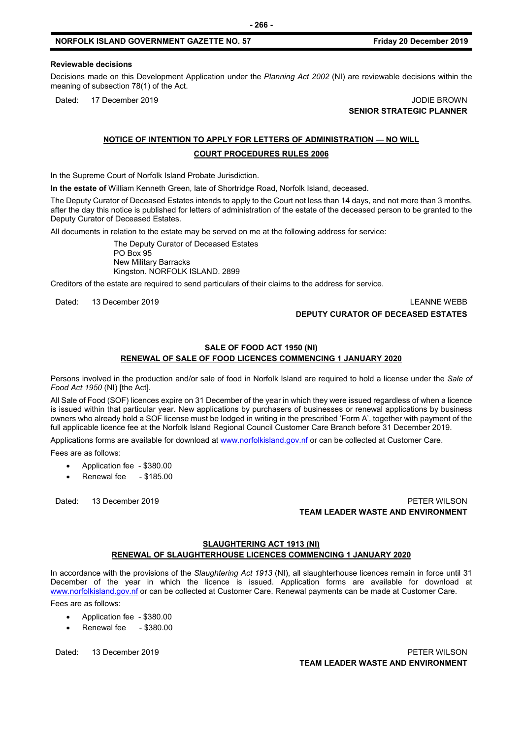#### **NORFOLK ISLAND GOVERNMENT GAZETTE NO. 57 Friday 20 December 2019**

#### **Reviewable decisions**

Decisions made on this Development Application under the *Planning Act 2002* (NI) are reviewable decisions within the meaning of subsection 78(1) of the Act.

Dated: 17 December 2019 JODIE BROWN **SENIOR STRATEGIC PLANNER** 

# **NOTICE OF INTENTION TO APPLY FOR LETTERS OF ADMINISTRATION — NO WILL COURT PROCEDURES RULES 2006**

In the Supreme Court of Norfolk Island Probate Jurisdiction.

**In the estate of** William Kenneth Green, late of Shortridge Road, Norfolk Island, deceased.

The Deputy Curator of Deceased Estates intends to apply to the Court not less than 14 days, and not more than 3 months, after the day this notice is published for letters of administration of the estate of the deceased person to be granted to the Deputy Curator of Deceased Estates.

All documents in relation to the estate may be served on me at the following address for service:

The Deputy Curator of Deceased Estates PO Box 95 New Military Barracks Kingston. NORFOLK ISLAND. 2899

Creditors of the estate are required to send particulars of their claims to the address for service.

Dated: 13 December 2019 LEANNE WEBB

## **DEPUTY CURATOR OF DECEASED ESTATES**

### **SALE OF FOOD ACT 1950 (NI) RENEWAL OF SALE OF FOOD LICENCES COMMENCING 1 JANUARY 2020**

Persons involved in the production and/or sale of food in Norfolk Island are required to hold a license under the *Sale of Food Act 1950* (NI) [the Act].

All Sale of Food (SOF) licences expire on 31 December of the year in which they were issued regardless of when a licence is issued within that particular year. New applications by purchasers of businesses or renewal applications by business owners who already hold a SOF license must be lodged in writing in the prescribed 'Form A', together with payment of the full applicable licence fee at the Norfolk Island Regional Council Customer Care Branch before 31 December 2019.

Applications forms are available for download at [www.norfolkisland.gov.nf](http://www.norfolkisland.gov.nf/) or can be collected at Customer Care.

Fees are as follows:

- Application fee \$380.00
- Renewal fee \$185.00

## Dated: 13 December 2019 PETER WILSON **TEAM LEADER WASTE AND ENVIRONMENT**

# **SLAUGHTERING ACT 1913 (NI) RENEWAL OF SLAUGHTERHOUSE LICENCES COMMENCING 1 JANUARY 2020**

In accordance with the provisions of the *Slaughtering Act 1913* (NI), all slaughterhouse licences remain in force until 31 December of the year in which the licence is issued. Application forms are available for download at [www.norfolkisland.gov.nf](http://www.norfolkisland.gov.nf/) or can be collected at Customer Care. Renewal payments can be made at Customer Care.

Fees are as follows:

- Application fee \$380.00
- Renewal fee \$380.00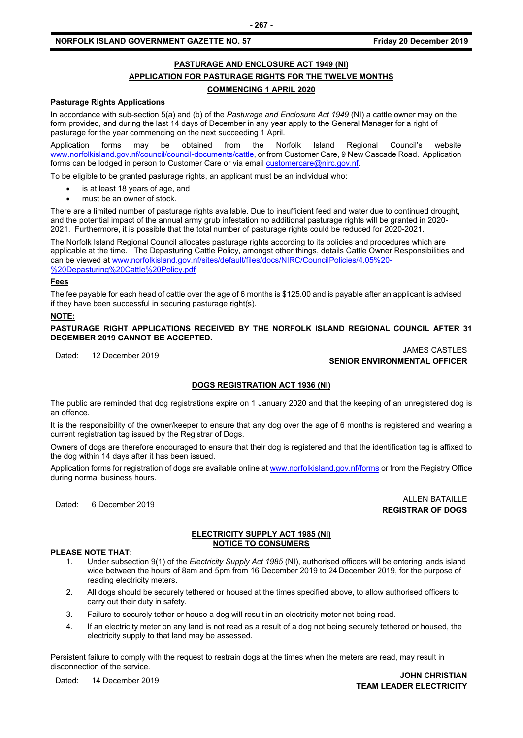# **NORFOLK ISLAND GOVERNMENT GAZETTE NO. 57 FIGULARY 20 December 2019**

# **PASTURAGE AND ENCLOSURE ACT 1949 (NI) APPLICATION FOR PASTURAGE RIGHTS FOR THE TWELVE MONTHS COMMENCING 1 APRIL 2020**

#### **Pasturage Rights Applications**

In accordance with sub-section 5(a) and (b) of the *Pasturage and Enclosure Act 1949* (NI) a cattle owner may on the form provided, and during the last 14 days of December in any year apply to the General Manager for a right of pasturage for the year commencing on the next succeeding 1 April.

Application forms may be obtained from the Norfolk Island Regional Council's website www.norfolkisland.gov.nf/council/council-documents/cattle, or from Customer Care, 9 New Cascade Road. Application forms can be lodged in person to Customer Care or via email **customercare@nirc.gov.nf.** 

To be eligible to be granted pasturage rights, an applicant must be an individual who:

- is at least 18 years of age, and
- must be an owner of stock.

There are a limited number of pasturage rights available. Due to insufficient feed and water due to continued drought, and the potential impact of the annual army grub infestation no additional pasturage rights will be granted in 2020- 2021. Furthermore, it is possible that the total number of pasturage rights could be reduced for 2020-2021.

The Norfolk Island Regional Council allocates pasturage rights according to its policies and procedures which are applicable at the time. The Depasturing Cattle Policy, amongst other things, details Cattle Owner Responsibilities and can be viewed a[t www.norfolkisland.gov.nf/sites/default/files/docs/NIRC/CouncilPolicies/4.05%20-](http://www.norfolkisland.gov.nf/sites/default/files/docs/NIRC/CouncilPolicies/4.05%20-%20Depasturing%20Cattle%20Policy.pdf) [%20Depasturing%20Cattle%20Policy.pdf](http://www.norfolkisland.gov.nf/sites/default/files/docs/NIRC/CouncilPolicies/4.05%20-%20Depasturing%20Cattle%20Policy.pdf)

#### **Fees**

The fee payable for each head of cattle over the age of 6 months is \$125.00 and is payable after an applicant is advised if they have been successful in securing pasturage right(s).

#### **NOTE:**

**PASTURAGE RIGHT APPLICATIONS RECEIVED BY THE NORFOLK ISLAND REGIONAL COUNCIL AFTER 31 DECEMBER 2019 CANNOT BE ACCEPTED.**

JAMES CASTLES<br>Dated: 12 December 2019 JAMES CASTLES **SENIOR ENVIRONMENTAL OFFICER**

#### **DOGS REGISTRATION ACT 1936 (NI)**

The public are reminded that dog registrations expire on 1 January 2020 and that the keeping of an unregistered dog is an offence.

It is the responsibility of the owner/keeper to ensure that any dog over the age of 6 months is registered and wearing a current registration tag issued by the Registrar of Dogs.

Owners of dogs are therefore encouraged to ensure that their dog is registered and that the identification tag is affixed to the dog within 14 days after it has been issued.

Application forms for registration of dogs are available online a[t www.norfolkisland.gov.nf/forms](http://www.norfolkisland.gov.nf/forms) or from the Registry Office during normal business hours.

Dated: 6 December 2019 ALLEN BATAILLE **REGISTRAR OF DOGS**

#### **ELECTRICITY SUPPLY ACT 1985 (NI) NOTICE TO CONSUMERS**

#### **PLEASE NOTE THAT:**

- 1. Under subsection 9(1) of the *Electricity Supply Act 1985* (NI), authorised officers will be entering lands island wide between the hours of 8am and 5pm from 16 December 2019 to 24 December 2019, for the purpose of reading electricity meters.
- 2. All dogs should be securely tethered or housed at the times specified above, to allow authorised officers to carry out their duty in safety.
- 3. Failure to securely tether or house a dog will result in an electricity meter not being read.
- 4. If an electricity meter on any land is not read as a result of a dog not being securely tethered or housed, the electricity supply to that land may be assessed.

Persistent failure to comply with the request to restrain dogs at the times when the meters are read, may result in disconnection of the service.

Dated: 14 December 2019 **JOHN CHRISTIAN TEAM LEADER ELECTRICITY**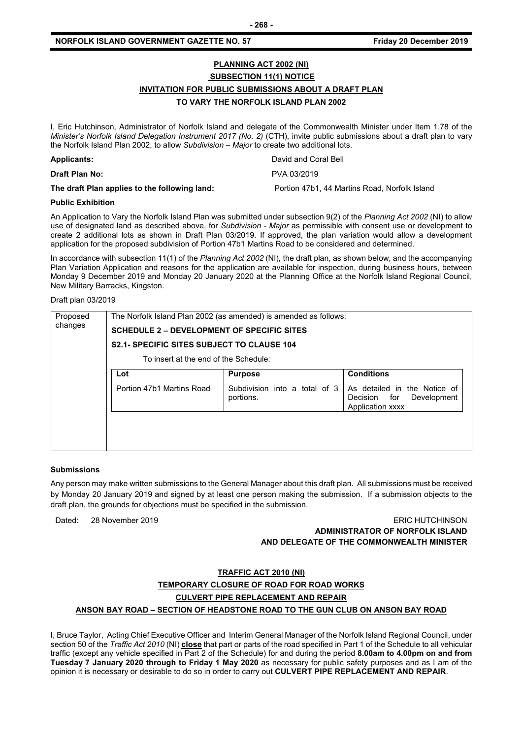# **PLANNING ACT 2002 (NI) SUBSECTION 11(1) NOTICE INVITATION FOR PUBLIC SUBMISSIONS ABOUT A DRAFT PLAN TO VARY THE NORFOLK ISLAND PLAN 2002**

I, Eric Hutchinson, Administrator of Norfolk Island and delegate of the Commonwealth Minister under Item 1.78 of the *Minister's Norfolk Island Delegation Instrument 2017 (No. 2)* (CTH), invite public submissions about a draft plan to vary the Norfolk Island Plan 2002, to allow *Subdivision – Major* to create two additional lots.

| <b>Applicants:</b>                            | David and Coral Bell                          |
|-----------------------------------------------|-----------------------------------------------|
| <b>Draft Plan No:</b>                         | PVA 03/2019                                   |
| The draft Plan applies to the following land: | Portion 47b1, 44 Martins Road, Norfolk Island |

#### **Public Exhibition**

An Application to Vary the Norfolk Island Plan was submitted under subsection 9(2) of the *Planning Act 2002* (NI) to allow use of designated land as described above, for *Subdivision - Major* as permissible with consent use or development to create 2 additional lots as shown in Draft Plan 03/2019. If approved, the plan variation would allow a development application for the proposed subdivision of Portion 47b1 Martins Road to be considered and determined.

In accordance with subsection 11(1) of the *Planning Act 2002* (NI)*,* the draft plan, as shown below, and the accompanying Plan Variation Application and reasons for the application are available for inspection, during business hours, between Monday 9 December 2019 and Monday 20 January 2020 at the Planning Office at the Norfolk Island Regional Council, New Military Barracks, Kingston.

#### Draft plan 03/2019

| Proposed | The Norfolk Island Plan 2002 (as amended) is amended as follows: |                                               |                                                                                       |  |  |  |
|----------|------------------------------------------------------------------|-----------------------------------------------|---------------------------------------------------------------------------------------|--|--|--|
| changes  | <b>SCHEDULE 2 – DEVELOPMENT OF SPECIFIC SITES</b>                |                                               |                                                                                       |  |  |  |
|          | <b>S2.1- SPECIFIC SITES SUBJECT TO CLAUSE 104</b>                |                                               |                                                                                       |  |  |  |
|          | To insert at the end of the Schedule:                            |                                               |                                                                                       |  |  |  |
|          | Lot                                                              | <b>Purpose</b>                                | <b>Conditions</b>                                                                     |  |  |  |
|          | Portion 47b1 Martins Road                                        | Subdivision into a<br>total of 3<br>portions. | As detailed in<br>the Notice of<br>for<br>Development<br>Decision<br>Application xxxx |  |  |  |
|          |                                                                  |                                               |                                                                                       |  |  |  |
|          |                                                                  |                                               |                                                                                       |  |  |  |

#### **Submissions**

Any person may make written submissions to the General Manager about this draft plan. All submissions must be received by Monday 20 January 2019 and signed by at least one person making the submission. If a submission objects to the draft plan, the grounds for objections must be specified in the submission.

Dated: 28 November 2019

| <b>ERIC HUTCHINSON</b>                    |
|-------------------------------------------|
| ADMINISTRATOR OF NORFOLK ISLAND           |
| AND DELEGATE OF THE COMMONWEALTH MINISTER |

#### **TRAFFIC ACT 2010 (NI)**

# **TEMPORARY CLOSURE OF ROAD FOR ROAD WORKS**

#### **CULVERT PIPE REPLACEMENT AND REPAIR**

#### **ANSON BAY ROAD – SECTION OF HEADSTONE ROAD TO THE GUN CLUB ON ANSON BAY ROAD**

I, Bruce Taylor, Acting Chief Executive Officer and Interim General Manager of the Norfolk Island Regional Council, under section 50 of the *Traffic Act 2010* (NI) **close** that part or parts of the road specified in Part 1 of the Schedule to all vehicular traffic (except any vehicle specified in Part 2 of the Schedule) for and during the period **8.00am to 4.00pm on and from Tuesday 7 January 2020 through to Friday 1 May 2020** as necessary for public safety purposes and as I am of the opinion it is necessary or desirable to do so in order to carry out **CULVERT PIPE REPLACEMENT AND REPAIR**.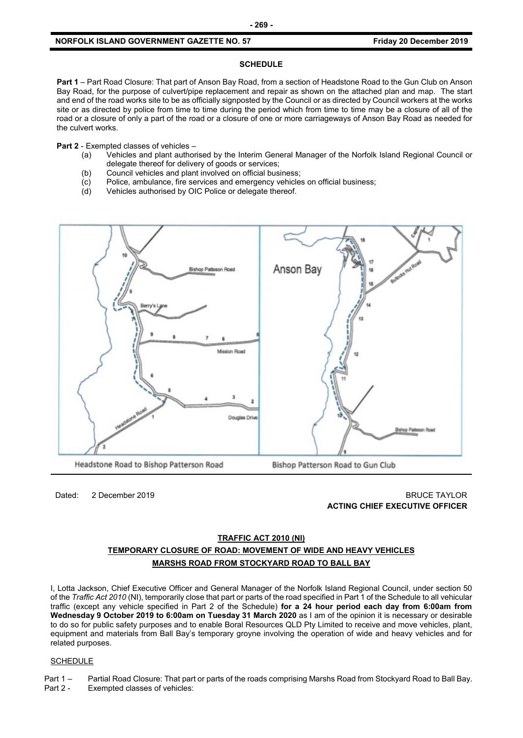## **NORFOLK ISLAND GOVERNMENT GAZETTE NO. 57** *CONDUCTER STATE STATE STATE STATE STATE STATE STATE STATE STATE STATE STATE STATE STATE STATE STATE STATE STATE STATE STATE STATE STATE STATE STATE STATE STATE STATE STATE STATE*

## **SCHEDULE**

**Part 1** – Part Road Closure: That part of Anson Bay Road, from a section of Headstone Road to the Gun Club on Anson Bay Road, for the purpose of culvert/pipe replacement and repair as shown on the attached plan and map. The start and end of the road works site to be as officially signposted by the Council or as directed by Council workers at the works site or as directed by police from time to time during the period which from time to time may be a closure of all of the road or a closure of only a part of the road or a closure of one or more carriageways of Anson Bay Road as needed for the culvert works.

**Part 2** - Exempted classes of vehicles –

- (a) Vehicles and plant authorised by the Interim General Manager of the Norfolk Island Regional Council or delegate thereof for delivery of goods or services;
- (b) Council vehicles and plant involved on official business;
- (c) Police, ambulance, fire services and emergency vehicles on official business;<br>(d) Vehicles authorised by OIC Police or delegate thereof.
- Vehicles authorised by OIC Police or delegate thereof.



Dated: 2 December 2019 BRUCE TAYLOR **ACTING CHIEF EXECUTIVE OFFICER**

# **TRAFFIC ACT 2010 (NI) TEMPORARY CLOSURE OF ROAD: MOVEMENT OF WIDE AND HEAVY VEHICLES MARSHS ROAD FROM STOCKYARD ROAD TO BALL BAY**

I, Lotta Jackson, Chief Executive Officer and General Manager of the Norfolk Island Regional Council, under section 50 of the *Traffic Act 2010* (NI), temporarily close that part or parts of the road specified in Part 1 of the Schedule to all vehicular traffic (except any vehicle specified in Part 2 of the Schedule) **for a 24 hour period each day from 6:00am from Wednesday 9 October 2019 to 6:00am on Tuesday 31 March 2020** as I am of the opinion it is necessary or desirable to do so for public safety purposes and to enable Boral Resources QLD Pty Limited to receive and move vehicles, plant, equipment and materials from Ball Bay's temporary groyne involving the operation of wide and heavy vehicles and for related purposes.

#### **SCHEDULE**

Part 1 – Partial Road Closure: That part or parts of the roads comprising Marshs Road from Stockyard Road to Ball Bay. Part 2 - Exempted classes of vehicles: